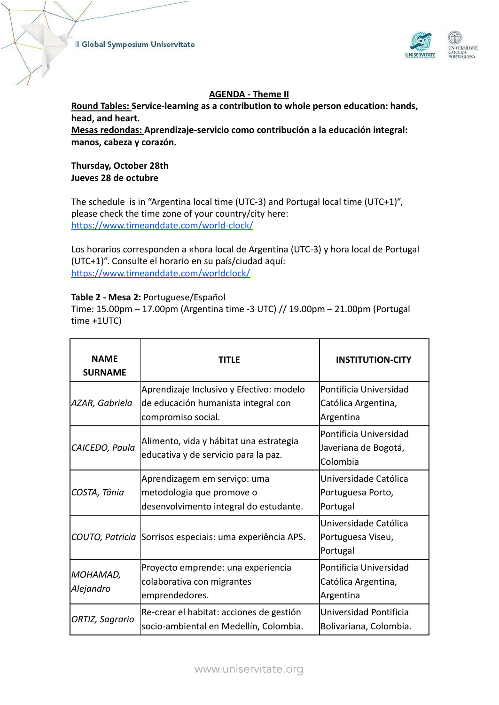

## **AGENDA - Theme II**

**Round Tables: Service-learning as a contribution to whole person education: hands, head, and heart.**

**Mesas redondas: Aprendizaje-servicio como contribución a la educación integral: manos, cabeza y corazón.**

## **Thursday, October 28th Jueves 28 de octubre**

The schedule is in "Argentina local time (UTC-3) and Portugal local time (UTC+1)", please check the time zone of your country/city here: <https://www.timeanddate.com/world-clock/>

Los horarios corresponden a «hora local de Argentina (UTC-3) y hora local de Portugal (UTC+1)". Consulte el horario en su país/ciudad aquí: <https://www.timeanddate.com/worldclock/>

#### **Table 2 - Mesa 2:** Portuguese/Español

Time: 15.00pm – 17.00pm (Argentina time -3 UTC) // 19.00pm – 21.00pm (Portugal time +1UTC)

| <b>NAME</b><br><b>SURNAME</b> | TITI F                                                                                                | <b>INSTITUTION-CITY</b>                                    |
|-------------------------------|-------------------------------------------------------------------------------------------------------|------------------------------------------------------------|
| AZAR, Gabriela                | Aprendizaje Inclusivo y Efectivo: modelo<br>de educación humanista integral con<br>compromiso social. | Pontificia Universidad<br>Católica Argentina,<br>Argentina |
| CAICEDO, Paula                | Alimento, vida y hábitat una estrategia<br>educativa y de servicio para la paz.                       | Pontificia Universidad<br>Javeriana de Bogotá,<br>Colombia |
| COSTA, Tânia                  | Aprendizagem em serviço: uma<br>metodologia que promove o<br>desenvolvimento integral do estudante.   | Universidade Católica<br>Portuguesa Porto,<br>Portugal     |
|                               | COUTO, Patricia Sorrisos especiais: uma experiência APS.                                              | Universidade Católica<br>Portuguesa Viseu,<br>Portugal     |
| MOHAMAD,<br>Alejandro         | Proyecto emprende: una experiencia<br>colaborativa con migrantes<br>emprendedores.                    | Pontificia Universidad<br>Católica Argentina,<br>Argentina |
| ORTIZ, Sagrario               | Re-crear el habitat: acciones de gestión<br>socio-ambiental en Medellín, Colombia.                    | Universidad Pontificia<br>Bolivariana, Colombia.           |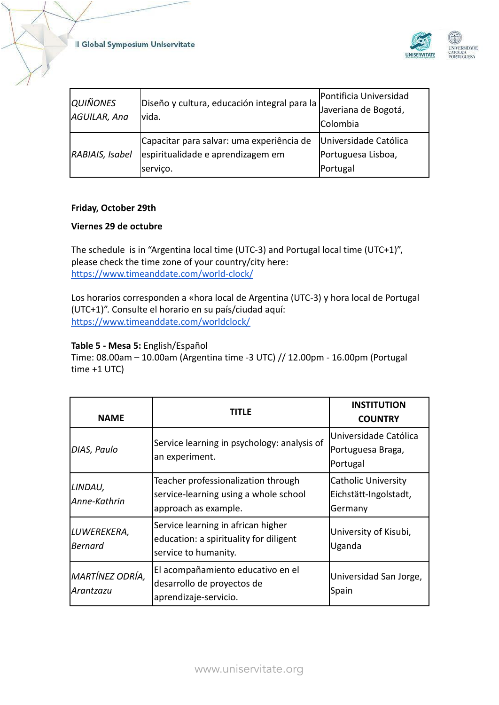

| <i>QUIÑONES</i><br>AGUILAR, Ana | Diseño y cultura, educación integral para la<br>lvida.                                     | Pontificia Universidad<br>Javeriana de Bogotá,<br>Colombia |
|---------------------------------|--------------------------------------------------------------------------------------------|------------------------------------------------------------|
| RABIAIS, Isabel                 | Capacitar para salvar: uma experiência de<br>espiritualidade e aprendizagem em<br>serviço. | Universidade Católica<br>Portuguesa Lisboa,<br>Portugal    |

# **Friday, October 29th**

#### **Viernes 29 de octubre**

The schedule is in "Argentina local time (UTC-3) and Portugal local time (UTC+1)", please check the time zone of your country/city here: <https://www.timeanddate.com/world-clock/>

Los horarios corresponden a «hora local de Argentina (UTC-3) y hora local de Portugal (UTC+1)". Consulte el horario en su país/ciudad aquí: <https://www.timeanddate.com/worldclock/>

# **Table 5 - Mesa 5:** English/Español

Time: 08.00am – 10.00am (Argentina time -3 UTC) // 12.00pm - 16.00pm (Portugal time +1 UTC)

| <b>NAME</b>                   | TITLE                                                                                                | <b>INSTITUTION</b><br><b>COUNTRY</b>                           |
|-------------------------------|------------------------------------------------------------------------------------------------------|----------------------------------------------------------------|
| DIAS, Paulo                   | Service learning in psychology: analysis of<br>an experiment.                                        | Universidade Católica<br>Portuguesa Braga,<br>Portugal         |
| LINDAU,<br>Anne-Kathrin       | Teacher professionalization through<br>service-learning using a whole school<br>approach as example. | <b>Catholic University</b><br>Eichstätt-Ingolstadt,<br>Germany |
| LUWEREKERA,<br><b>Bernard</b> | Service learning in african higher<br>education: a spirituality for diligent<br>service to humanity. | University of Kisubi,<br>Uganda                                |
| MARTÍNEZ ODRÍA,<br>Arantzazu  | El acompañamiento educativo en el<br>desarrollo de proyectos de<br>aprendizaje-servicio.             | Universidad San Jorge,<br>Spain                                |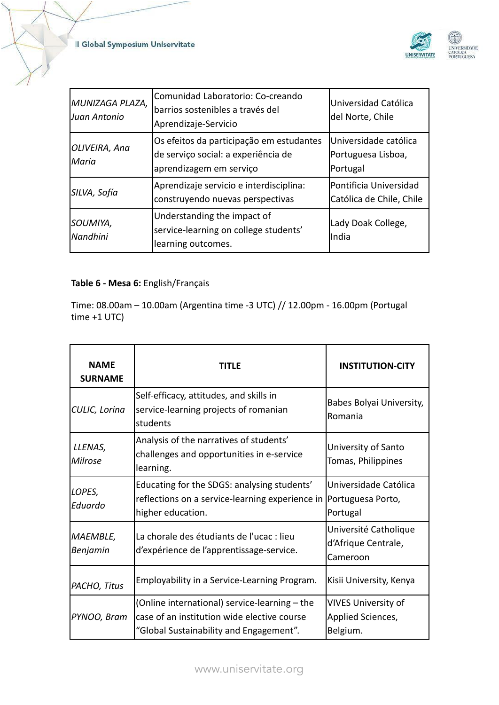

| MUNIZAGA PLAZA,<br>lJuan Antonio | Comunidad Laboratorio: Co-creando<br>barrios sostenibles a través del<br>Aprendizaje-Servicio              | Universidad Católica<br>del Norte, Chile                |
|----------------------------------|------------------------------------------------------------------------------------------------------------|---------------------------------------------------------|
| OLIVEIRA, Ana<br>lMaria          | Os efeitos da participação em estudantes<br>de serviço social: a experiência de<br>aprendizagem em serviço | Universidade católica<br>Portuguesa Lisboa,<br>Portugal |
| SILVA, Sofía                     | Aprendizaje servicio e interdisciplina:<br>construyendo nuevas perspectivas                                | Pontificia Universidad<br>Católica de Chile, Chile      |
| SOUMIYA,<br><b>Nandhini</b>      | Understanding the impact of<br>service-learning on college students'<br>learning outcomes.                 | Lady Doak College,<br>lIndia                            |

# **Table 6 - Mesa 6:** English/Français

Time: 08.00am – 10.00am (Argentina time -3 UTC) // 12.00pm - 16.00pm (Portugal time +1 UTC)

| <b>NAME</b><br><b>SURNAME</b> | TITLF                                                                                                                                   | <b>INSTITUTION-CITY</b>                                     |
|-------------------------------|-----------------------------------------------------------------------------------------------------------------------------------------|-------------------------------------------------------------|
| CULIC, Lorina                 | Self-efficacy, attitudes, and skills in<br>service-learning projects of romanian<br>students                                            | Babes Bolyai University,<br>Romania                         |
| LLENAS,<br>Milrose            | Analysis of the narratives of students'<br>challenges and opportunities in e-service<br>learning.                                       | University of Santo<br>Tomas, Philippines                   |
| LOPES,<br>Eduardo             | Educating for the SDGS: analysing students'<br>reflections on a service-learning experience in  Portuguesa Porto,<br>higher education.  | Universidade Católica<br>Portugal                           |
| <b>MAEMBLE,</b><br>Benjamin   | La chorale des étudiants de l'ucac : lieu<br>d'expérience de l'apprentissage-service.                                                   | Université Catholique<br>d'Afrique Centrale,<br>Cameroon    |
| PACHO, Titus                  | Employability in a Service-Learning Program.                                                                                            | Kisii University, Kenya                                     |
| PYNOO, Bram                   | (Online international) service-learning - the<br>case of an institution wide elective course<br>"Global Sustainability and Engagement". | <b>VIVES University of</b><br>Applied Sciences,<br>Belgium. |